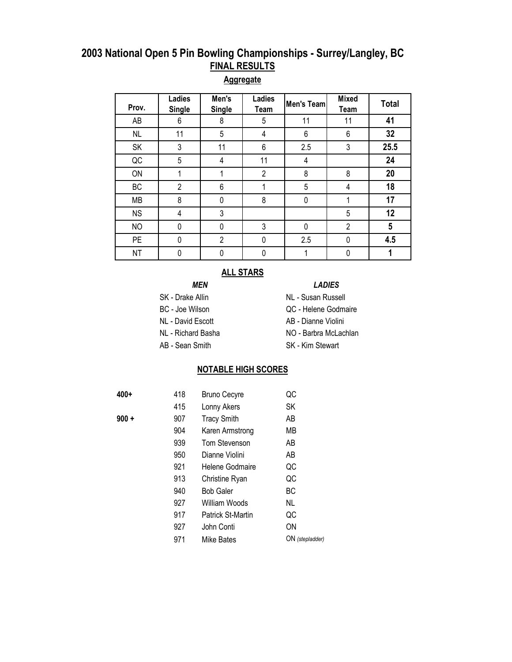#### **Aggregate**

| Prov.     | Ladies<br><b>Single</b> | Men's<br><b>Single</b> | Ladies<br>Team | Men's Team | <b>Mixed</b><br>Team | <b>Total</b> |
|-----------|-------------------------|------------------------|----------------|------------|----------------------|--------------|
| AB        | 6                       | 8                      | 5              | 11         | 11                   | 41           |
| <b>NL</b> | 11                      | 5                      | 4              | 6          | 6                    | 32           |
| SK        | 3                       | 11                     | 6              | 2.5        | 3                    | 25.5         |
| QC        | 5                       | 4                      | 11             | 4          |                      | 24           |
| ON        |                         |                        | $\overline{2}$ | 8          | 8                    | 20           |
| BC        | $\overline{2}$          | 6                      |                | 5          | 4                    | 18           |
| MB        | 8                       | 0                      | 8              | 0          | 1                    | 17           |
| <b>NS</b> | 4                       | 3                      |                |            | 5                    | 12           |
| <b>NO</b> | 0                       | 0                      | 3              | 0          | $\overline{2}$       | 5            |
| <b>PE</b> | 0                       | $\overline{2}$         | 0              | 2.5        | 0                    | 4.5          |
| <b>NT</b> | 0                       | 0                      | 0              |            | 0                    |              |

#### **ALL STARS**

#### *MEN LADIES*

- SK Drake Allin NL Susan Russell
- 
- NL David Escott AB Dianne Violini
- 
- 
- AB Sean Smith SK Kim Stewart
- BC Joe Wilson QC Helene Godmaire
	-
	-
- NL Richard Basha NO Barbra McLachlan
	-

#### **NOTABLE HIGH SCORES**

| 400+    | 418 | <b>Bruno Cecyre</b>      | QC              |
|---------|-----|--------------------------|-----------------|
|         | 415 | Lonny Akers              | SK              |
| $900 +$ | 907 | <b>Tracy Smith</b>       | AΒ              |
|         | 904 | Karen Armstrong          | MВ              |
|         | 939 | <b>Tom Stevenson</b>     | AΒ              |
|         | 950 | Dianne Violini           | AΒ              |
|         | 921 | Helene Godmaire          | QC              |
|         | 913 | Christine Ryan           | QC              |
|         | 940 | <b>Bob Galer</b>         | ВC              |
|         | 927 | William Woods            | NL.             |
|         | 917 | <b>Patrick St-Martin</b> | QC              |
|         | 927 | John Conti               | ON              |
|         | 971 | Mike Bates               | ON (stepladder) |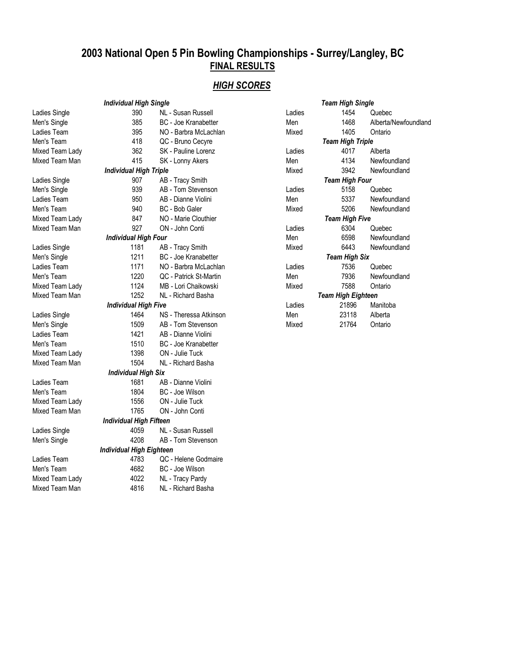## *HIGH SCORES*

|                 | <b>Individual High Single</b>   |                            |
|-----------------|---------------------------------|----------------------------|
| Ladies Single   | 390                             | NL - Susan Russell         |
| Men's Single    | 385                             | <b>BC</b> - Joe Kranabette |
| Ladies Team     | 395                             | NO - Barbra McLach         |
| Men's Team      | 418                             | QC - Bruno Cecyre          |
| Mixed Team Lady | 362                             | SK - Pauline Lorenz        |
| Mixed Team Man  | 415                             | SK - Lonny Akers           |
|                 | <b>Individual High Triple</b>   |                            |
| Ladies Single   | 907                             | AB - Tracy Smith           |
| Men's Single    | 939                             | AB - Tom Stevensor         |
| Ladies Team     | 950                             | AB - Dianne Violini        |
| Men's Team      | 940                             | BC - Bob Galer             |
| Mixed Team Lady | 847                             | NO - Marie Clouthier       |
| Mixed Team Man  | 927                             | ON - John Conti            |
|                 | <b>Individual High Four</b>     |                            |
| Ladies Single   | 1181                            | AB - Tracy Smith           |
| Men's Single    | 1211                            | <b>BC</b> - Joe Kranabette |
| Ladies Team     | 1171                            | NO - Barbra McLach         |
| Men's Team      | 1220                            | QC - Patrick St-Mart       |
| Mixed Team Lady | 1124                            | MB - Lori Chaikowsk        |
| Mixed Team Man  | 1252                            | NL - Richard Basha         |
|                 | <b>Individual High Five</b>     |                            |
| Ladies Single   | 1464                            | NS - Theressa Atkin        |
| Men's Single    | 1509                            | AB - Tom Stevensor         |
| Ladies Team     | 1421                            | AB - Dianne Violini        |
| Men's Team      | 1510                            | BC - Joe Kranabette        |
| Mixed Team Lady | 1398                            | ON - Julie Tuck            |
| Mixed Team Man  | 1504                            | NL - Richard Basha         |
|                 | <b>Individual High Six</b>      |                            |
| Ladies Team     | 1681                            | AB - Dianne Violini        |
| Men's Team      | 1804                            | BC - Joe Wilson            |
| Mixed Team Lady | 1556                            | ON - Julie Tuck            |
| Mixed Team Man  | 1765                            | ON - John Conti            |
|                 | <b>Individual High Fifteen</b>  |                            |
| Ladies Single   | 4059                            | NL - Susan Russell         |
| Men's Single    | 4208                            | AB - Tom Stevensor         |
|                 | <b>Individual High Eighteen</b> |                            |
| Ladies Team     | 4783                            | QC - Helene Godma          |
| Men's Team      | 4682                            | BC - Joe Wilson            |
| Mixed Team Lady | 4022                            | NL - Tracy Pardy           |
| Mixed Team Man  | 4816                            | NL - Richard Basha         |
|                 |                                 |                            |

| Ladies Single                | 390                             | NL - Susan Russell          | Ladies | 1454                      | Quebec        |
|------------------------------|---------------------------------|-----------------------------|--------|---------------------------|---------------|
| Men's Single                 | 385                             | <b>BC</b> - Joe Kranabetter | Men    | 1468                      | Alberta/Newfo |
| Ladies Team                  | 395                             | NO - Barbra McLachlan       | Mixed  | 1405                      | Ontario       |
| Men's Team                   | 418                             | QC - Bruno Cecyre           |        | <b>Team High Triple</b>   |               |
| Mixed Team Lady              | 362                             | SK - Pauline Lorenz         | Ladies | 4017                      | Alberta       |
| Mixed Team Man               | 415                             | SK - Lonny Akers            | Men    | 4134                      | Newfoundland  |
|                              | <b>Individual High Triple</b>   |                             | Mixed  | 3942                      | Newfoundland  |
| Ladies Single                | 907                             | AB - Tracy Smith            |        | <b>Team High Four</b>     |               |
| Men's Single                 | 939                             | AB - Tom Stevenson          | Ladies | 5158                      | Quebec        |
| Ladies Team                  | 950                             | AB - Dianne Violini         | Men    | 5337                      | Newfoundland  |
| Men's Team                   | 940                             | BC - Bob Galer              | Mixed  | 5206                      | Newfoundland  |
| Mixed Team Lady              | 847                             | NO - Marie Clouthier        |        | <b>Team High Five</b>     |               |
| Mixed Team Man               | 927                             | ON - John Conti             | Ladies | 6304                      | Quebec        |
|                              | <b>Individual High Four</b>     |                             | Men    | 6598                      | Newfoundland  |
| Ladies Single                | 1181                            | AB - Tracy Smith            | Mixed  | 6443                      | Newfoundland  |
| Men's Single                 | 1211                            | <b>BC</b> - Joe Kranabetter |        | <b>Team High Six</b>      |               |
| Ladies Team                  | 1171                            | NO - Barbra McLachlan       | Ladies | 7536                      | Quebec        |
| Men's Team                   | 1220                            | QC - Patrick St-Martin      | Men    | 7936                      | Newfoundland  |
| Mixed Team Lady              | 1124                            | MB - Lori Chaikowski        | Mixed  | 7588                      | Ontario       |
| Mixed Team Man               | 1252                            | NL - Richard Basha          |        | <b>Team High Eighteen</b> |               |
|                              | <b>Individual High Five</b>     |                             | Ladies | 21896                     | Manitoba      |
| Ladies Single                | 1464                            | NS - Theressa Atkinson      | Men    | 23118                     | Alberta       |
| Men's Single                 | 1509                            | AB - Tom Stevenson          | Mixed  | 21764                     | Ontario       |
| Ladies Team                  | 1421                            | AB - Dianne Violini         |        |                           |               |
| Men's Team                   | 1510                            | <b>BC</b> - Joe Kranabetter |        |                           |               |
| Mixed Team Lady              | 1398                            | ON - Julie Tuck             |        |                           |               |
| Mixed Team Man               | 1504                            | NL - Richard Basha          |        |                           |               |
|                              | <b>Individual High Six</b>      |                             |        |                           |               |
| Ladies Team                  | 1681                            | AB - Dianne Violini         |        |                           |               |
| Men's Team                   | 1804                            | BC - Joe Wilson             |        |                           |               |
| Mixed Team Lady              | 1556                            | ON - Julie Tuck             |        |                           |               |
| Mixed Team Man               | 1765                            | ON - John Conti             |        |                           |               |
|                              | <b>Individual High Fifteen</b>  |                             |        |                           |               |
| Ladies Single                | 4059                            | NL - Susan Russell          |        |                           |               |
| Men's Single                 | 4208                            | AB - Tom Stevenson          |        |                           |               |
|                              | <b>Individual High Eighteen</b> |                             |        |                           |               |
| Ladies Team                  | 4783                            | QC - Helene Godmaire        |        |                           |               |
| Men's Team                   | 4682                            | BC - Joe Wilson             |        |                           |               |
| Mixed Team Lady              | 4022                            | NL - Tracy Pardy            |        |                           |               |
| $M_{total}$ Tannel $M_{out}$ | 404C                            | All Diskord Dooks           |        |                           |               |

|                 | <b>Individual High Single</b> |                        |        | <b>Team High Single</b>   |                      |
|-----------------|-------------------------------|------------------------|--------|---------------------------|----------------------|
| Ladies Single   | 390                           | NL - Susan Russell     | Ladies | 1454                      | Quebec               |
| Men's Single    | 385                           | BC - Joe Kranabetter   | Men    | 1468                      | Alberta/Newfoundland |
| Ladies Team     | 395                           | NO - Barbra McLachlan  | Mixed  | 1405                      | Ontario              |
| Men's Team      | 418                           | QC - Bruno Cecyre      |        | <b>Team High Triple</b>   |                      |
| Mixed Team Lady | 362                           | SK - Pauline Lorenz    | Ladies | 4017                      | Alberta              |
| Mixed Team Man  | 415                           | SK - Lonny Akers       | Men    | 4134                      | Newfoundland         |
|                 | <b>Individual High Triple</b> |                        | Mixed  | 3942                      | Newfoundland         |
| Ladies Single   | 907                           | AB - Tracy Smith       |        | <b>Team High Four</b>     |                      |
| Men's Single    | 939                           | AB - Tom Stevenson     | Ladies | 5158                      | Quebec               |
| Ladies Team     | 950                           | AB - Dianne Violini    | Men    | 5337                      | Newfoundland         |
| Men's Team      | 940                           | BC - Bob Galer         | Mixed  | 5206                      | Newfoundland         |
| Mixed Team Lady | 847                           | NO - Marie Clouthier   |        | <b>Team High Five</b>     |                      |
| Mixed Team Man  | 927                           | ON - John Conti        | Ladies | 6304                      | Quebec               |
|                 | <b>Individual High Four</b>   |                        | Men    | 6598                      | Newfoundland         |
| Ladies Single   | 1181                          | AB - Tracy Smith       | Mixed  | 6443                      | Newfoundland         |
| Men's Single    | 1211                          | BC - Joe Kranabetter   |        | <b>Team High Six</b>      |                      |
| Ladies Team     | 1171                          | NO - Barbra McLachlan  | Ladies | 7536                      | Quebec               |
| Men's Team      | 1220                          | QC - Patrick St-Martin | Men    | 7936                      | Newfoundland         |
| Mixed Team Lady | 1124                          | MB - Lori Chaikowski   | Mixed  | 7588                      | Ontario              |
| Mixed Team Man  | 1252                          | NL - Richard Basha     |        | <b>Team High Eighteen</b> |                      |
|                 | <b>Individual High Five</b>   |                        | Ladies | 21896                     | Manitoba             |
| Ladies Single   | 1464                          | NS - Theressa Atkinson | Men    | 23118                     | Alberta              |
| Men's Single    | 1509                          | AB - Tom Stevenson     | Mixed  | 21764                     | Ontario              |
|                 |                               |                        |        |                           |                      |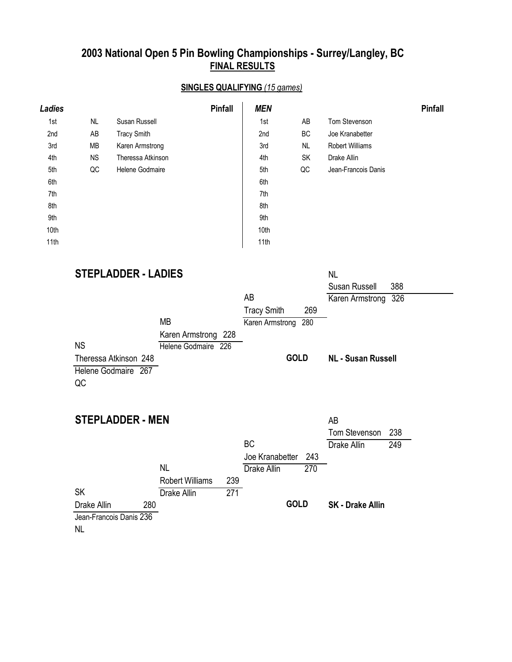## **SINGLES QUALIFYING** *(15 games)*

| Ladies |           |                    | <b>Pinfall</b> | <b>MEN</b> |           |                        | <b>Pinfall</b> |
|--------|-----------|--------------------|----------------|------------|-----------|------------------------|----------------|
| 1st    | NL.       | Susan Russell      |                | 1st        | AB        | Tom Stevenson          |                |
| 2nd    | AB        | <b>Tracy Smith</b> |                | 2nd        | BC        | Joe Kranabetter        |                |
| 3rd    | МB        | Karen Armstrong    |                | 3rd        | NL        | <b>Robert Williams</b> |                |
| 4th    | <b>NS</b> | Theressa Atkinson  |                | 4th        | <b>SK</b> | Drake Allin            |                |
| 5th    | QC        | Helene Godmaire    |                | 5th        | QC        | Jean-Francois Danis    |                |
| 6th    |           |                    |                | 6th        |           |                        |                |
| 7th    |           |                    |                | 7th        |           |                        |                |
| 8th    |           |                    |                | 8th        |           |                        |                |
| 9th    |           |                    |                | 9th        |           |                        |                |
| 10th   |           |                    |                | 10th       |           |                        |                |
| 11th   |           |                    |                | 11th       |           |                        |                |

| <b>STEPLADDER - LADIES</b>                         |                               |                           | <b>NL</b><br>Susan Russell    |
|----------------------------------------------------|-------------------------------|---------------------------|-------------------------------|
|                                                    |                               | AB                        | 388<br>326<br>Karen Armstrong |
|                                                    |                               | 269<br><b>Tracy Smith</b> |                               |
|                                                    | MВ                            | Karen Armstrong<br>280    |                               |
|                                                    | Karen Armstrong 228           |                           |                               |
| <b>NS</b>                                          | Helene Godmaire 226           |                           |                               |
| Theressa Atkinson 248<br>Helene Godmaire 267<br>QC |                               | <b>GOLD</b>               | <b>NL - Susan Russell</b>     |
| <b>STEPLADDER - MEN</b>                            |                               |                           | AB                            |
|                                                    |                               |                           | <b>Tom Stevenson</b><br>238   |
|                                                    |                               | BC                        | Drake Allin<br>249            |
|                                                    |                               | Joe Kranabetter<br>243    |                               |
|                                                    | <b>NL</b>                     | Drake Allin<br>270        |                               |
|                                                    | 239<br><b>Robert Williams</b> |                           |                               |
| <b>SK</b>                                          | Drake Allin<br>271            |                           |                               |

**GOLD**

**SK - Drake Allin**

 $\overline{\phantom{0}}$ 

NL Drake Allin 280 Jean-Francois Danis 236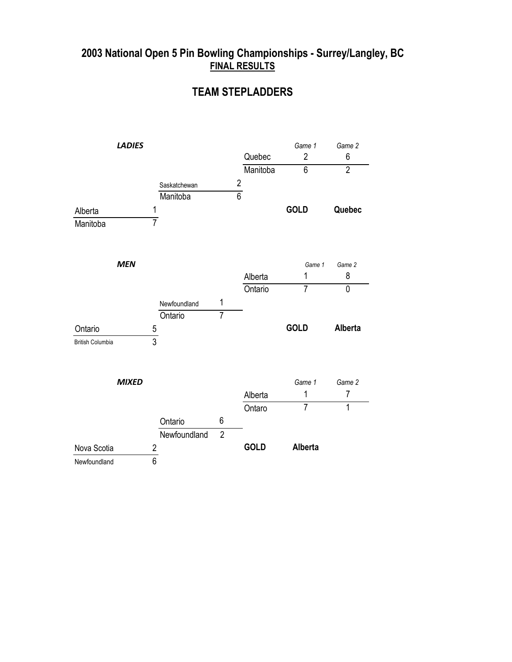### **TEAM STEPLADDERS**

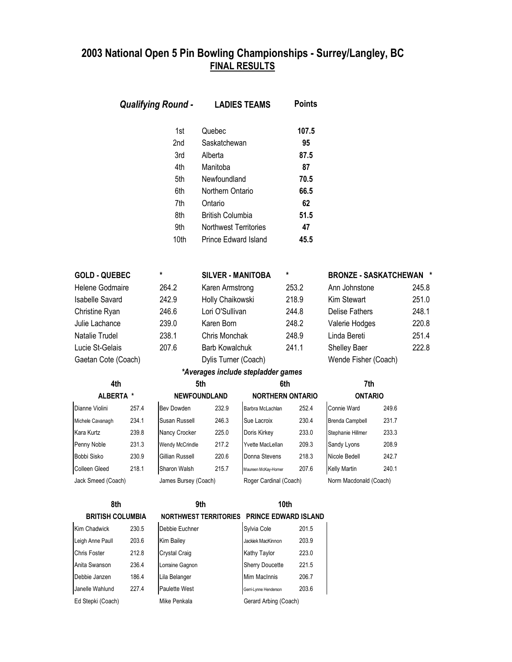|                         |       | <b>Qualifying Round -</b>                                   |                                                                                                                                                         | <b>LADIES TEAMS</b>                        | <b>Points</b>                                                 |                                |                |       |
|-------------------------|-------|-------------------------------------------------------------|---------------------------------------------------------------------------------------------------------------------------------------------------------|--------------------------------------------|---------------------------------------------------------------|--------------------------------|----------------|-------|
|                         |       | 1st<br>2nd<br>3rd<br>4th<br>5th<br>6th<br>7th<br>8th<br>9th | Quebec<br>Saskatchewan<br>Alberta<br>Manitoba<br>Newfoundland<br>Northern Ontario<br>Ontario<br><b>British Columbia</b><br><b>Northwest Territories</b> |                                            | 107.5<br>95<br>87.5<br>87<br>70.5<br>66.5<br>62<br>51.5<br>47 |                                |                |       |
|                         |       | 10th                                                        | Prince Edward Island                                                                                                                                    |                                            | 45.5                                                          |                                |                |       |
| <b>GOLD - QUEBEC</b>    |       | *                                                           | <b>SILVER - MANITOBA</b>                                                                                                                                |                                            | *                                                             | <b>BRONZE - SASKATCHEWAN *</b> |                |       |
| <b>Helene Godmaire</b>  |       | 264.2                                                       | Karen Armstrong                                                                                                                                         |                                            | 253.2                                                         | Ann Johnstone                  |                | 245.8 |
| <b>Isabelle Savard</b>  |       | 242.9                                                       | Holly Chaikowski                                                                                                                                        |                                            | 218.9                                                         | Kim Stewart                    |                | 251.0 |
| Christine Ryan          |       | 246.6                                                       | Lori O'Sullivan                                                                                                                                         |                                            | 244.8                                                         | <b>Delise Fathers</b>          |                | 248.1 |
| Julie Lachance          |       | 239.0                                                       | Karen Born                                                                                                                                              |                                            | 248.2                                                         | Valerie Hodges                 |                | 220.8 |
| Natalie Trudel          |       | 238.1                                                       | Chris Monchak                                                                                                                                           |                                            | 248.9                                                         | Linda Bereti                   |                | 251.4 |
| Lucie St-Gelais         |       | 207.6                                                       | <b>Barb Kowalchuk</b>                                                                                                                                   |                                            | 241.1                                                         | <b>Shelley Baer</b>            |                | 222.8 |
| Gaetan Cote (Coach)     |       |                                                             | Dylis Turner (Coach)                                                                                                                                    |                                            |                                                               | Wende Fisher (Coach)           |                |       |
|                         |       |                                                             |                                                                                                                                                         | *Averages include stepladder games         |                                                               |                                |                |       |
| 4th                     |       |                                                             | 5th                                                                                                                                                     |                                            | 6th                                                           | 7th                            |                |       |
| ALBERTA *               |       |                                                             | <b>NEWFOUNDLAND</b>                                                                                                                                     |                                            | <b>NORTHERN ONTARIO</b>                                       |                                | <b>ONTARIO</b> |       |
| Dianne Violini          | 257.4 | Bev Dowden                                                  | 232.9                                                                                                                                                   | Barbra McLachlan                           | 252.4                                                         | Connie Ward                    | 249.6          |       |
| Michele Cavanagh        | 234.1 | Susan Russell                                               | 246.3                                                                                                                                                   | Sue Lacroix                                | 230.4                                                         | <b>Brenda Campbell</b>         | 231.7          |       |
| Kara Kurtz              | 239.8 | Nancy Crocker                                               | 225.0                                                                                                                                                   | Doris Kirkey                               | 233.0                                                         | Stephanie Hillmer              | 233.3          |       |
| Penny Noble             | 231.3 | Wendy McCrindle                                             | 217.2                                                                                                                                                   | Yvette MacLellan                           | 209.3                                                         | Sandy Lyons                    | 208.9          |       |
| Bobbi Sisko             | 230.9 | Gillian Russell                                             | 220.6                                                                                                                                                   | Donna Stevens                              | 218.3                                                         | Nicole Bedell                  | 242.7          |       |
| Colleen Gleed           | 218.1 | Sharon Walsh                                                | 215.7                                                                                                                                                   | Maureen McKay-Horner                       | 207.6                                                         | <b>Kelly Martin</b>            | 240.1          |       |
| Jack Smeed (Coach)      |       | James Bursey (Coach)                                        |                                                                                                                                                         | Roger Cardinal (Coach)                     |                                                               | Norm Macdonald (Coach)         |                |       |
| 8th                     |       |                                                             | 9th                                                                                                                                                     |                                            | 10th                                                          |                                |                |       |
| <b>BRITISH COLUMBIA</b> |       |                                                             |                                                                                                                                                         | NORTHWEST TERRITORIES PRINCE EDWARD ISLAND |                                                               |                                |                |       |
| Kim Chadwick            | 230.5 | Debbie Euchner                                              |                                                                                                                                                         | Sylvia Cole                                | 201.5                                                         |                                |                |       |
| Leigh Anne Paull        | 203.6 | Kim Bailey                                                  |                                                                                                                                                         | Jackiek MacKinnon                          | 203.9                                                         |                                |                |       |
| Chris Foster            | 212.8 | Crystal Craig                                               |                                                                                                                                                         | Kathy Taylor                               | 223.0                                                         |                                |                |       |
| Anita Swanson           | 236.4 | Lorraine Gagnon                                             |                                                                                                                                                         | <b>Sherry Doucette</b>                     | 221.5                                                         |                                |                |       |
| Debbie Janzen           | 186.4 | Lila Belanger                                               |                                                                                                                                                         | Mim MacInnis                               | 206.7                                                         |                                |                |       |
| Janelle Wahlund         | 227.4 | Paulette West                                               |                                                                                                                                                         | Gerri-Lynne Henderson                      | 203.6                                                         |                                |                |       |
| Ed Stepki (Coach)       |       | Mike Penkala                                                |                                                                                                                                                         | Gerard Arbing (Coach)                      |                                                               |                                |                |       |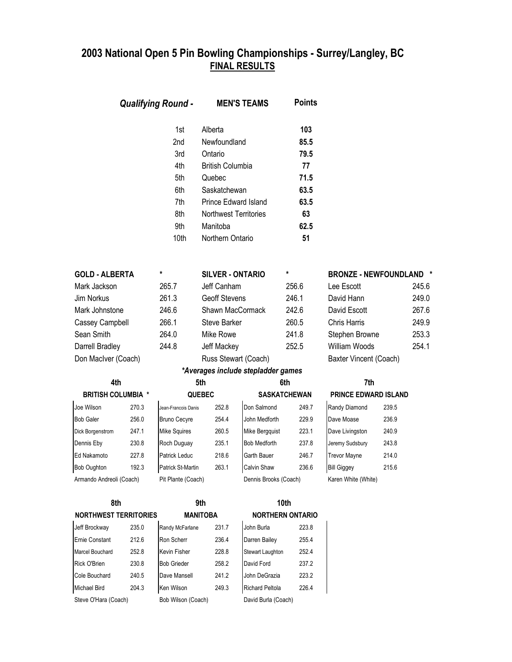|                              |       | <b>Qualifying Round -</b>                                           |                                                                                                                                                                                 | <b>MEN'S TEAMS</b>    | <b>Points</b>                                                         |                                |                      |       |
|------------------------------|-------|---------------------------------------------------------------------|---------------------------------------------------------------------------------------------------------------------------------------------------------------------------------|-----------------------|-----------------------------------------------------------------------|--------------------------------|----------------------|-------|
|                              |       | 1st<br>2nd<br>3rd<br>4th<br>5th<br>6th<br>7th<br>8th<br>9th<br>10th | Alberta<br>Newfoundland<br>Ontario<br><b>British Columbia</b><br>Quebec<br>Saskatchewan<br>Prince Edward Island<br><b>Northwest Territories</b><br>Manitoba<br>Northern Ontario |                       | 103<br>85.5<br>79.5<br>77<br>71.5<br>63.5<br>63.5<br>63<br>62.5<br>51 |                                |                      |       |
| <b>GOLD - ALBERTA</b>        |       | *                                                                   | <b>SILVER - ONTARIO</b>                                                                                                                                                         |                       | $\pmb{\ast}$                                                          | <b>BRONZE - NEWFOUNDLAND *</b> |                      |       |
| Mark Jackson                 |       | 265.7                                                               | Jeff Canham                                                                                                                                                                     |                       | 256.6                                                                 | Lee Escott                     |                      | 245.6 |
| Jim Norkus                   |       | 261.3                                                               | <b>Geoff Stevens</b>                                                                                                                                                            |                       | 246.1                                                                 | David Hann                     |                      | 249.0 |
| Mark Johnstone               |       | 246.6                                                               | Shawn MacCormack                                                                                                                                                                |                       | 242.6                                                                 | David Escott                   |                      | 267.6 |
| Cassey Campbell              |       | 266.1                                                               | Steve Barker                                                                                                                                                                    |                       | 260.5                                                                 | <b>Chris Harris</b>            |                      | 249.9 |
| Sean Smith                   |       | 264.0                                                               | Mike Rowe                                                                                                                                                                       |                       | 241.8                                                                 | Stephen Browne                 |                      | 253.3 |
| Darrell Bradley              |       | 244.8                                                               | Jeff Mackey                                                                                                                                                                     |                       | 252.5                                                                 | William Woods                  |                      | 254.1 |
| Don MacIver (Coach)          |       |                                                                     | Russ Stewart (Coach)                                                                                                                                                            |                       |                                                                       | Baxter Vincent (Coach)         |                      |       |
|                              |       |                                                                     | *Averages include stepladder games                                                                                                                                              |                       |                                                                       |                                |                      |       |
| 4th                          |       |                                                                     | 5th                                                                                                                                                                             |                       | 6th                                                                   | 7th                            |                      |       |
| <b>BRITISH COLUMBIA *</b>    |       |                                                                     | <b>QUEBEC</b>                                                                                                                                                                   |                       | <b>SASKATCHEWAN</b>                                                   |                                | PRINCE EDWARD ISLAND |       |
| Joe Wilson                   | 270.3 | Jean-Francois Danis                                                 | 252.8                                                                                                                                                                           | Don Salmond           | 249.7                                                                 | Randy Diamond                  | 239.5                |       |
| <b>Bob Galer</b>             | 256.0 | <b>Bruno Cecyre</b>                                                 | 254.4                                                                                                                                                                           | John Medforth         | 229.9                                                                 | Dave Moase                     | 236.9                |       |
| Dick Borgenstrom             | 247.1 | Mike Squires                                                        | 260.5                                                                                                                                                                           | Mike Bergquist        | 223.1                                                                 | Dave Livingston                | 240.9                |       |
| Dennis Eby                   | 230.8 | Roch Duguay                                                         | 235.1                                                                                                                                                                           | <b>Bob Medforth</b>   | 237.8                                                                 | Jeremy Sudsbury                | 243.8                |       |
| Ed Nakamoto                  | 227.8 | Patrick Leduc                                                       | 218.6                                                                                                                                                                           | Garth Bauer           | 246.7                                                                 | <b>Trevor Mayne</b>            | 214.0                |       |
| Bob Oughton                  | 192.3 | Patrick St-Martin                                                   | 263.1                                                                                                                                                                           | Calvin Shaw           | 236.6                                                                 | <b>Bill Giggey</b>             | 215.6                |       |
| Armando Andreoli (Coach)     |       | Pit Plante (Coach)                                                  |                                                                                                                                                                                 | Dennis Brooks (Coach) |                                                                       | Karen White (White)            |                      |       |
| 8th                          |       |                                                                     | 9th                                                                                                                                                                             |                       | 10th                                                                  |                                |                      |       |
| <b>NORTHWEST TERRITORIES</b> |       |                                                                     | <b>MANITOBA</b>                                                                                                                                                                 |                       | <b>NORTHERN ONTARIO</b>                                               |                                |                      |       |
| Jeff Brockway                | 235.0 | Randy McFarlane                                                     | 231.7                                                                                                                                                                           | John Burla            | 223.8                                                                 |                                |                      |       |
| Ernie Constant               | 212.6 | Ron Scherr                                                          | 236.4                                                                                                                                                                           | Darren Bailey         | 255.4                                                                 |                                |                      |       |
| Marcel Bouchard              | 252.8 | Kevin Fisher                                                        | 228.8                                                                                                                                                                           | Stewart Laughton      | 252.4                                                                 |                                |                      |       |
| Rick O'Brien                 | 230.8 | <b>Bob Grieder</b>                                                  | 258.2                                                                                                                                                                           | David Ford            | 237.2                                                                 |                                |                      |       |
| Cole Bouchard                | 240.5 | Dave Mansell                                                        | 241.2                                                                                                                                                                           | John DeGrazia         | 223.2                                                                 |                                |                      |       |
| Michael Bird                 | 204.3 | Ken Wilson                                                          | 249.3                                                                                                                                                                           | Richard Peltola       | 226.4                                                                 |                                |                      |       |
| Steve O'Hara (Coach)         |       | Bob Wilson (Coach)                                                  |                                                                                                                                                                                 | David Burla (Coach)   |                                                                       |                                |                      |       |